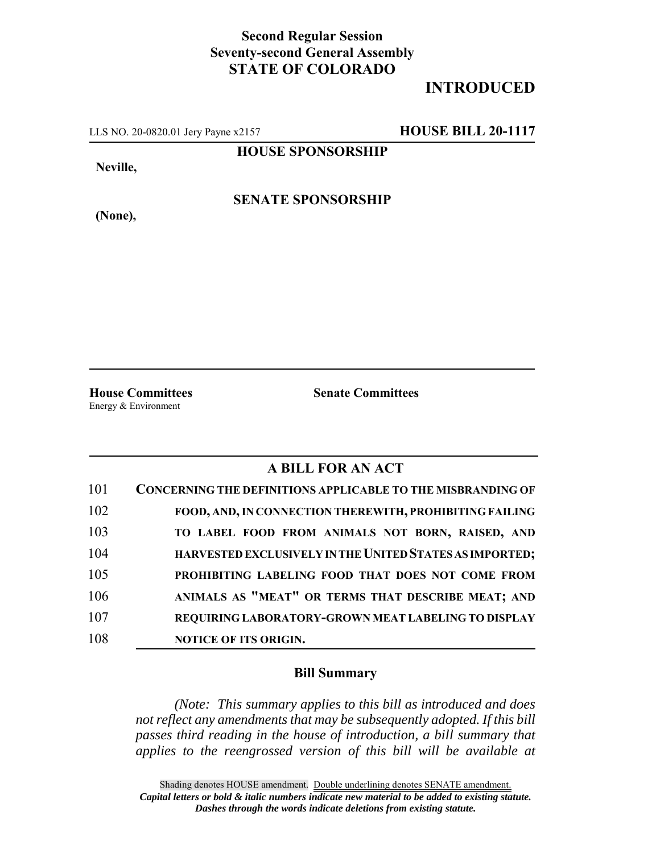## **Second Regular Session Seventy-second General Assembly STATE OF COLORADO**

# **INTRODUCED**

LLS NO. 20-0820.01 Jery Payne x2157 **HOUSE BILL 20-1117**

**HOUSE SPONSORSHIP**

**Neville,**

**SENATE SPONSORSHIP**

**(None),**

**House Committees Senate Committees** Energy & Environment

### **A BILL FOR AN ACT**

| 101 | <b>CONCERNING THE DEFINITIONS APPLICABLE TO THE MISBRANDING OF</b> |
|-----|--------------------------------------------------------------------|
| 102 | FOOD, AND, IN CONNECTION THEREWITH, PROHIBITING FAILING            |
| 103 | TO LABEL FOOD FROM ANIMALS NOT BORN, RAISED, AND                   |
| 104 | HARVESTED EXCLUSIVELY IN THE UNITED STATES AS IMPORTED;            |
| 105 | PROHIBITING LABELING FOOD THAT DOES NOT COME FROM                  |
| 106 | ANIMALS AS "MEAT" OR TERMS THAT DESCRIBE MEAT; AND                 |
| 107 | <b>REQUIRING LABORATORY-GROWN MEAT LABELING TO DISPLAY</b>         |
| 108 | <b>NOTICE OF ITS ORIGIN.</b>                                       |

### **Bill Summary**

*(Note: This summary applies to this bill as introduced and does not reflect any amendments that may be subsequently adopted. If this bill passes third reading in the house of introduction, a bill summary that applies to the reengrossed version of this bill will be available at*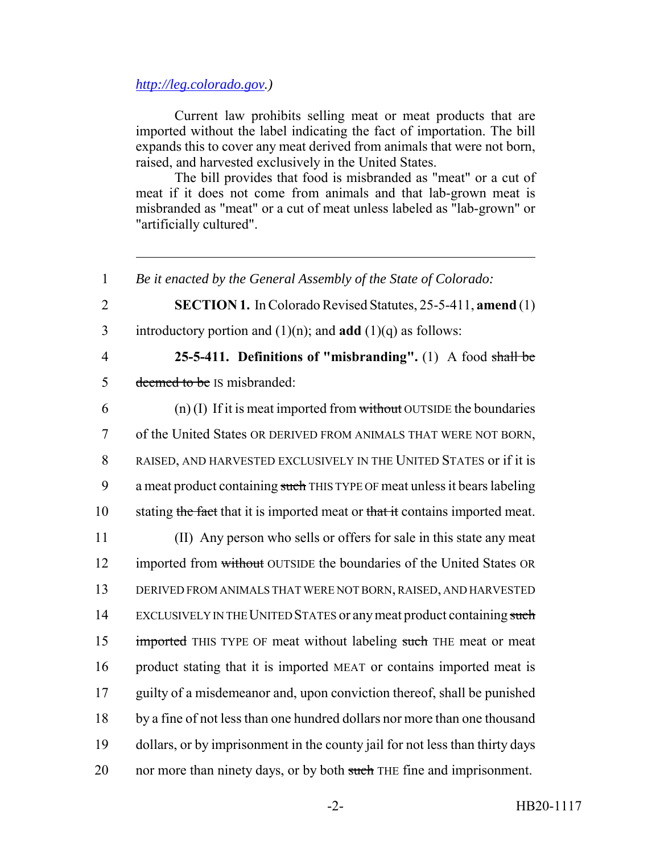### *http://leg.colorado.gov.)*

Current law prohibits selling meat or meat products that are imported without the label indicating the fact of importation. The bill expands this to cover any meat derived from animals that were not born, raised, and harvested exclusively in the United States.

The bill provides that food is misbranded as "meat" or a cut of meat if it does not come from animals and that lab-grown meat is misbranded as "meat" or a cut of meat unless labeled as "lab-grown" or "artificially cultured".

1 *Be it enacted by the General Assembly of the State of Colorado:* 2 **SECTION 1.** In Colorado Revised Statutes, 25-5-411, **amend** (1) 3 introductory portion and (1)(n); and **add** (1)(q) as follows: 4 **25-5-411. Definitions of "misbranding".** (1) A food shall be 5 deemed to be IS misbranded:  $(1)$  (I) If it is meat imported from without OUTSIDE the boundaries 7 of the United States OR DERIVED FROM ANIMALS THAT WERE NOT BORN, 8 RAISED, AND HARVESTED EXCLUSIVELY IN THE UNITED STATES or if it is 9 a meat product containing such THIS TYPE OF meat unless it bears labeling 10 stating the fact that it is imported meat or that it contains imported meat. 11 (II) Any person who sells or offers for sale in this state any meat 12 imported from without OUTSIDE the boundaries of the United States OR 13 DERIVED FROM ANIMALS THAT WERE NOT BORN, RAISED, AND HARVESTED 14 EXCLUSIVELY IN THE UNITED STATES or any meat product containing such 15 imported THIS TYPE OF meat without labeling such THE meat or meat 16 product stating that it is imported MEAT or contains imported meat is 17 guilty of a misdemeanor and, upon conviction thereof, shall be punished 18 by a fine of not less than one hundred dollars nor more than one thousand 19 dollars, or by imprisonment in the county jail for not less than thirty days 20 nor more than ninety days, or by both such THE fine and imprisonment.